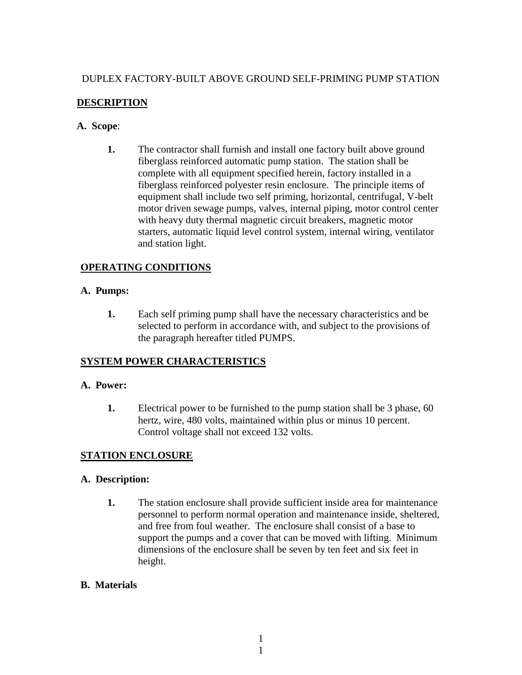# DUPLEX FACTORY-BUILT ABOVE GROUND SELF-PRIMING PUMP STATION

# **DESCRIPTION**

#### **A. Scope**:

**1.** The contractor shall furnish and install one factory built above ground fiberglass reinforced automatic pump station. The station shall be complete with all equipment specified herein, factory installed in a fiberglass reinforced polyester resin enclosure. The principle items of equipment shall include two self priming, horizontal, centrifugal, V-belt motor driven sewage pumps, valves, internal piping, motor control center with heavy duty thermal magnetic circuit breakers, magnetic motor starters, automatic liquid level control system, internal wiring, ventilator and station light.

# **OPERATING CONDITIONS**

# **A. Pumps:**

**1.** Each self priming pump shall have the necessary characteristics and be selected to perform in accordance with, and subject to the provisions of the paragraph hereafter titled PUMPS.

# **SYSTEM POWER CHARACTERISTICS**

#### **A. Power:**

**1.** Electrical power to be furnished to the pump station shall be 3 phase, 60 hertz, wire, 480 volts, maintained within plus or minus 10 percent. Control voltage shall not exceed 132 volts.

# **STATION ENCLOSURE**

# **A. Description:**

**1.** The station enclosure shall provide sufficient inside area for maintenance personnel to perform normal operation and maintenance inside, sheltered, and free from foul weather. The enclosure shall consist of a base to support the pumps and a cover that can be moved with lifting. Minimum dimensions of the enclosure shall be seven by ten feet and six feet in height.

# **B. Materials**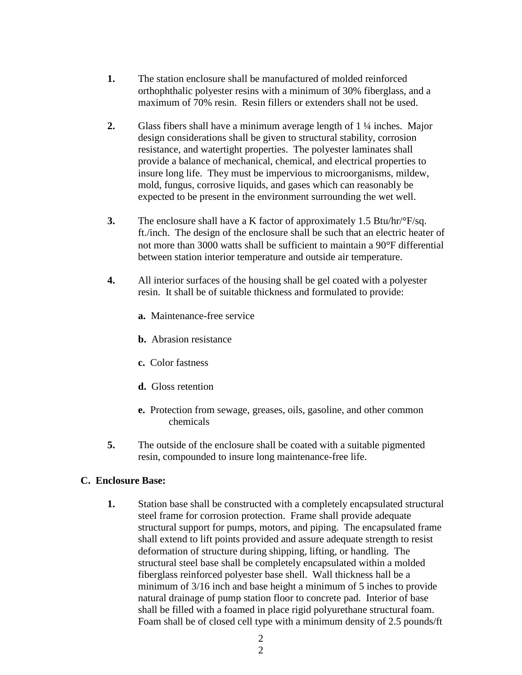- **1.** The station enclosure shall be manufactured of molded reinforced orthophthalic polyester resins with a minimum of 30% fiberglass, and a maximum of 70% resin. Resin fillers or extenders shall not be used.
- **2.** Glass fibers shall have a minimum average length of 1 ¼ inches. Major design considerations shall be given to structural stability, corrosion resistance, and watertight properties. The polyester laminates shall provide a balance of mechanical, chemical, and electrical properties to insure long life. They must be impervious to microorganisms, mildew, mold, fungus, corrosive liquids, and gases which can reasonably be expected to be present in the environment surrounding the wet well.
- **3.** The enclosure shall have a K factor of approximately 1.5 Btu/hr/ $\degree$ F/sq. ft./inch. The design of the enclosure shall be such that an electric heater of not more than 3000 watts shall be sufficient to maintain a 90<sup>o</sup>F differential between station interior temperature and outside air temperature.
- **4.** All interior surfaces of the housing shall be gel coated with a polyester resin. It shall be of suitable thickness and formulated to provide:
	- **a.** Maintenance-free service
	- **b.** Abrasion resistance
	- **c.** Color fastness
	- **d.** Gloss retention
	- **e.** Protection from sewage, greases, oils, gasoline, and other common chemicals
- **5.** The outside of the enclosure shall be coated with a suitable pigmented resin, compounded to insure long maintenance-free life.

#### **C. Enclosure Base:**

**1.** Station base shall be constructed with a completely encapsulated structural steel frame for corrosion protection. Frame shall provide adequate structural support for pumps, motors, and piping. The encapsulated frame shall extend to lift points provided and assure adequate strength to resist deformation of structure during shipping, lifting, or handling. The structural steel base shall be completely encapsulated within a molded fiberglass reinforced polyester base shell. Wall thickness hall be a minimum of 3/16 inch and base height a minimum of 5 inches to provide natural drainage of pump station floor to concrete pad. Interior of base shall be filled with a foamed in place rigid polyurethane structural foam. Foam shall be of closed cell type with a minimum density of 2.5 pounds/ft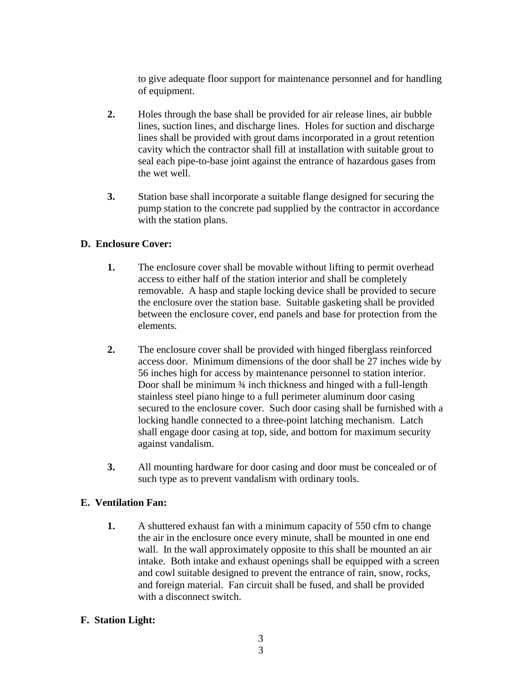to give adequate floor support for maintenance personnel and for handling of equipment.

- **2.** Holes through the base shall be provided for air release lines, air bubble lines, suction lines, and discharge lines. Holes for suction and discharge lines shall be provided with grout dams incorporated in a grout retention cavity which the contractor shall fill at installation with suitable grout to seal each pipe-to-base joint against the entrance of hazardous gases from the wet well.
- **3.** Station base shall incorporate a suitable flange designed for securing the pump station to the concrete pad supplied by the contractor in accordance with the station plans.

# **D. Enclosure Cover:**

- **1.** The enclosure cover shall be movable without lifting to permit overhead access to either half of the station interior and shall be completely removable. A hasp and staple locking device shall be provided to secure the enclosure over the station base. Suitable gasketing shall be provided between the enclosure cover, end panels and base for protection from the elements.
- **2.** The enclosure cover shall be provided with hinged fiberglass reinforced access door. Minimum dimensions of the door shall be 27 inches wide by 56 inches high for access by maintenance personnel to station interior. Door shall be minimum  $\frac{3}{4}$  inch thickness and hinged with a full-length stainless steel piano hinge to a full perimeter aluminum door casing secured to the enclosure cover. Such door casing shall be furnished with a locking handle connected to a three-point latching mechanism. Latch shall engage door casing at top, side, and bottom for maximum security against vandalism.
- **3.** All mounting hardware for door casing and door must be concealed or of such type as to prevent vandalism with ordinary tools.

# **E. Ventilation Fan:**

**1.** A shuttered exhaust fan with a minimum capacity of 550 cfm to change the air in the enclosure once every minute, shall be mounted in one end wall. In the wall approximately opposite to this shall be mounted an air intake. Both intake and exhaust openings shall be equipped with a screen and cowl suitable designed to prevent the entrance of rain, snow, rocks, and foreign material. Fan circuit shall be fused, and shall be provided with a disconnect switch.

# **F. Station Light:**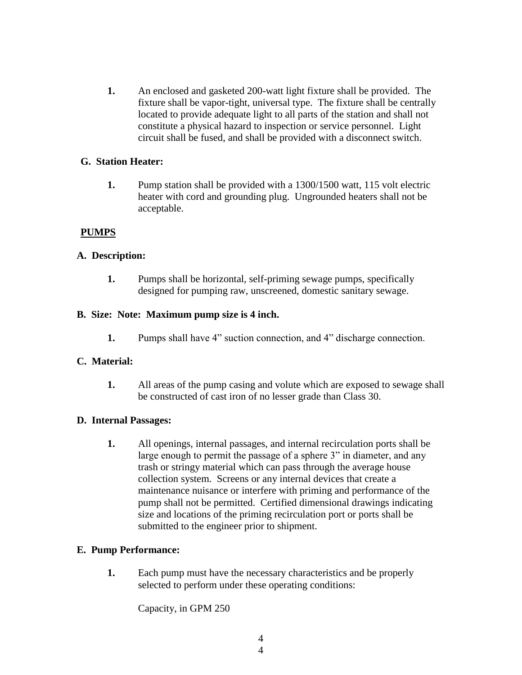**1.** An enclosed and gasketed 200-watt light fixture shall be provided. The fixture shall be vapor-tight, universal type. The fixture shall be centrally located to provide adequate light to all parts of the station and shall not constitute a physical hazard to inspection or service personnel. Light circuit shall be fused, and shall be provided with a disconnect switch.

#### **G. Station Heater:**

**1.** Pump station shall be provided with a 1300/1500 watt, 115 volt electric heater with cord and grounding plug. Ungrounded heaters shall not be acceptable.

# **PUMPS**

#### **A. Description:**

**1.** Pumps shall be horizontal, self-priming sewage pumps, specifically designed for pumping raw, unscreened, domestic sanitary sewage.

#### **B. Size: Note: Maximum pump size is 4 inch.**

**1.** Pumps shall have 4" suction connection, and 4" discharge connection.

# **C. Material:**

**1.** All areas of the pump casing and volute which are exposed to sewage shall be constructed of cast iron of no lesser grade than Class 30.

#### **D. Internal Passages:**

**1.** All openings, internal passages, and internal recirculation ports shall be large enough to permit the passage of a sphere 3" in diameter, and any trash or stringy material which can pass through the average house collection system. Screens or any internal devices that create a maintenance nuisance or interfere with priming and performance of the pump shall not be permitted. Certified dimensional drawings indicating size and locations of the priming recirculation port or ports shall be submitted to the engineer prior to shipment.

#### **E. Pump Performance:**

**1.** Each pump must have the necessary characteristics and be properly selected to perform under these operating conditions:

Capacity, in GPM 250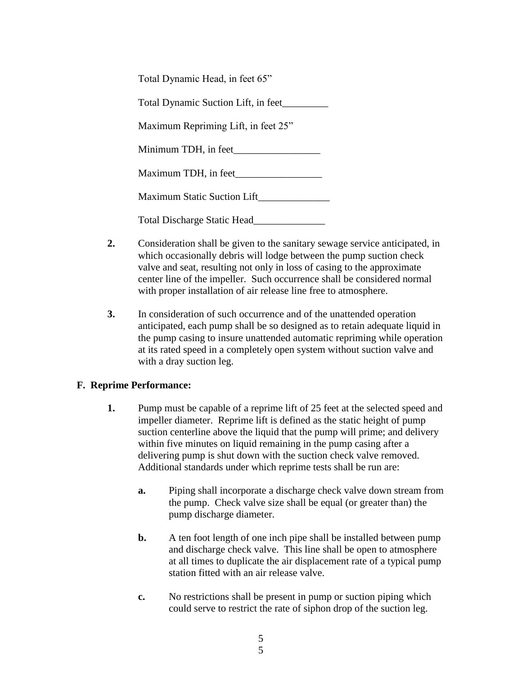| Total Dynamic Head, in feet 65"     |
|-------------------------------------|
| Total Dynamic Suction Lift, in feet |
| Maximum Repriming Lift, in feet 25" |
| Minimum TDH, in feet                |
| Maximum TDH, in feet                |
| <b>Maximum Static Suction Lift</b>  |
| Total Discharge Static Head         |

- **2.** Consideration shall be given to the sanitary sewage service anticipated, in which occasionally debris will lodge between the pump suction check valve and seat, resulting not only in loss of casing to the approximate center line of the impeller. Such occurrence shall be considered normal with proper installation of air release line free to atmosphere.
- **3.** In consideration of such occurrence and of the unattended operation anticipated, each pump shall be so designed as to retain adequate liquid in the pump casing to insure unattended automatic repriming while operation at its rated speed in a completely open system without suction valve and with a dray suction leg.

# **F. Reprime Performance:**

- **1.** Pump must be capable of a reprime lift of 25 feet at the selected speed and impeller diameter. Reprime lift is defined as the static height of pump suction centerline above the liquid that the pump will prime; and delivery within five minutes on liquid remaining in the pump casing after a delivering pump is shut down with the suction check valve removed. Additional standards under which reprime tests shall be run are:
	- **a.** Piping shall incorporate a discharge check valve down stream from the pump. Check valve size shall be equal (or greater than) the pump discharge diameter.
	- **b.** A ten foot length of one inch pipe shall be installed between pump and discharge check valve. This line shall be open to atmosphere at all times to duplicate the air displacement rate of a typical pump station fitted with an air release valve.
	- **c.** No restrictions shall be present in pump or suction piping which could serve to restrict the rate of siphon drop of the suction leg.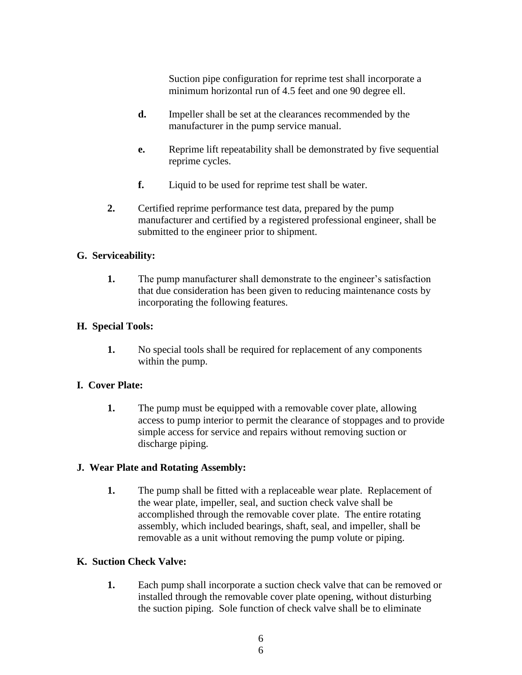Suction pipe configuration for reprime test shall incorporate a minimum horizontal run of 4.5 feet and one 90 degree ell.

- **d.** Impeller shall be set at the clearances recommended by the manufacturer in the pump service manual.
- **e.** Reprime lift repeatability shall be demonstrated by five sequential reprime cycles.
- **f.** Liquid to be used for reprime test shall be water.
- **2.** Certified reprime performance test data, prepared by the pump manufacturer and certified by a registered professional engineer, shall be submitted to the engineer prior to shipment.

#### **G. Serviceability:**

**1.** The pump manufacturer shall demonstrate to the engineer's satisfaction that due consideration has been given to reducing maintenance costs by incorporating the following features.

#### **H. Special Tools:**

**1.** No special tools shall be required for replacement of any components within the pump.

# **I. Cover Plate:**

**1.** The pump must be equipped with a removable cover plate, allowing access to pump interior to permit the clearance of stoppages and to provide simple access for service and repairs without removing suction or discharge piping.

# **J. Wear Plate and Rotating Assembly:**

**1.** The pump shall be fitted with a replaceable wear plate. Replacement of the wear plate, impeller, seal, and suction check valve shall be accomplished through the removable cover plate. The entire rotating assembly, which included bearings, shaft, seal, and impeller, shall be removable as a unit without removing the pump volute or piping.

# **K. Suction Check Valve:**

**1.** Each pump shall incorporate a suction check valve that can be removed or installed through the removable cover plate opening, without disturbing the suction piping. Sole function of check valve shall be to eliminate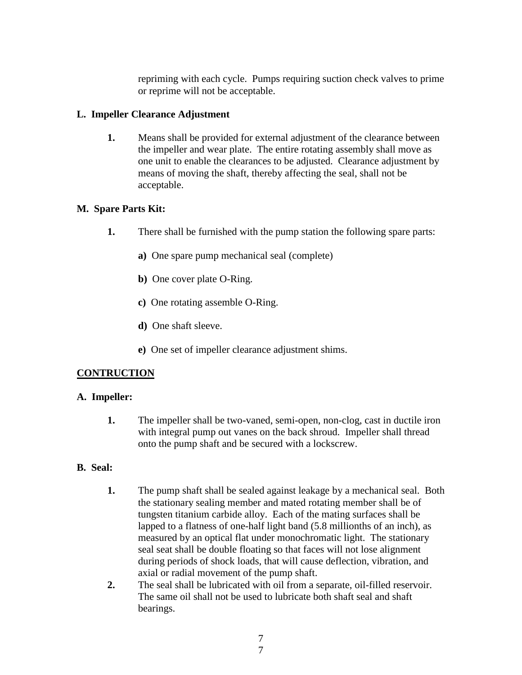repriming with each cycle. Pumps requiring suction check valves to prime or reprime will not be acceptable.

#### **L. Impeller Clearance Adjustment**

**1.** Means shall be provided for external adjustment of the clearance between the impeller and wear plate. The entire rotating assembly shall move as one unit to enable the clearances to be adjusted. Clearance adjustment by means of moving the shaft, thereby affecting the seal, shall not be acceptable.

#### **M. Spare Parts Kit:**

- **1.** There shall be furnished with the pump station the following spare parts:
	- **a)** One spare pump mechanical seal (complete)
	- **b)** One cover plate O-Ring.
	- **c)** One rotating assemble O-Ring.
	- **d)** One shaft sleeve.
	- **e)** One set of impeller clearance adjustment shims.

# **CONTRUCTION**

#### **A. Impeller:**

**1.** The impeller shall be two-vaned, semi-open, non-clog, cast in ductile iron with integral pump out vanes on the back shroud. Impeller shall thread onto the pump shaft and be secured with a lockscrew.

# **B. Seal:**

- **1.** The pump shaft shall be sealed against leakage by a mechanical seal. Both the stationary sealing member and mated rotating member shall be of tungsten titanium carbide alloy. Each of the mating surfaces shall be lapped to a flatness of one-half light band (5.8 millionths of an inch), as measured by an optical flat under monochromatic light. The stationary seal seat shall be double floating so that faces will not lose alignment during periods of shock loads, that will cause deflection, vibration, and axial or radial movement of the pump shaft.
- **2.** The seal shall be lubricated with oil from a separate, oil-filled reservoir. The same oil shall not be used to lubricate both shaft seal and shaft bearings.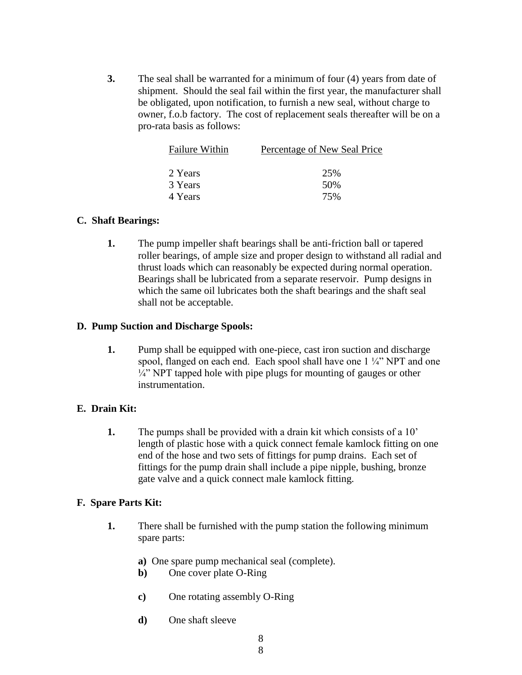**3.** The seal shall be warranted for a minimum of four (4) years from date of shipment. Should the seal fail within the first year, the manufacturer shall be obligated, upon notification, to furnish a new seal, without charge to owner, f.o.b factory. The cost of replacement seals thereafter will be on a pro-rata basis as follows:

| <b>Failure Within</b> | Percentage of New Seal Price |  |
|-----------------------|------------------------------|--|
|                       |                              |  |
| 2 Years               | 25%                          |  |
| 3 Years               | 50%                          |  |
| 4 Years               | 75%                          |  |

#### **C. Shaft Bearings:**

**1.** The pump impeller shaft bearings shall be anti-friction ball or tapered roller bearings, of ample size and proper design to withstand all radial and thrust loads which can reasonably be expected during normal operation. Bearings shall be lubricated from a separate reservoir. Pump designs in which the same oil lubricates both the shaft bearings and the shaft seal shall not be acceptable.

#### **D. Pump Suction and Discharge Spools:**

**1.** Pump shall be equipped with one-piece, cast iron suction and discharge spool, flanged on each end. Each spool shall have one 1  $\frac{1}{4}$ " NPT and one  $\frac{1}{4}$ " NPT tapped hole with pipe plugs for mounting of gauges or other instrumentation.

#### **E. Drain Kit:**

**1.** The pumps shall be provided with a drain kit which consists of a 10' length of plastic hose with a quick connect female kamlock fitting on one end of the hose and two sets of fittings for pump drains. Each set of fittings for the pump drain shall include a pipe nipple, bushing, bronze gate valve and a quick connect male kamlock fitting.

#### **F. Spare Parts Kit:**

- **1.** There shall be furnished with the pump station the following minimum spare parts:
	- **a)** One spare pump mechanical seal (complete).
	- **b)** One cover plate O-Ring
	- **c)** One rotating assembly O-Ring
	- **d)** One shaft sleeve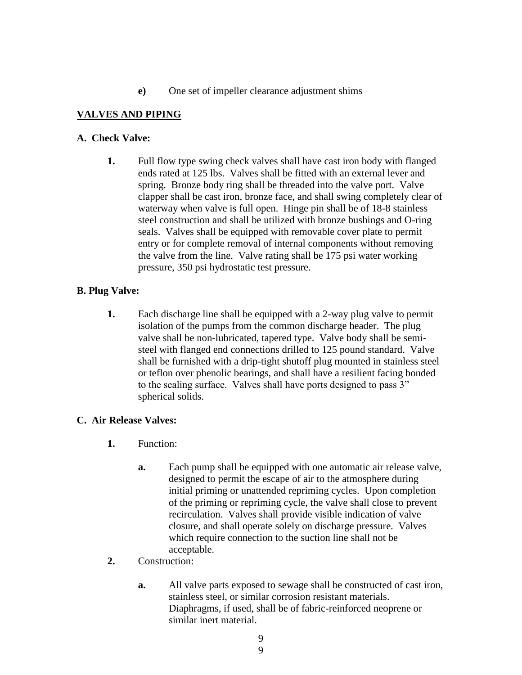#### **e)** One set of impeller clearance adjustment shims

#### **VALVES AND PIPING**

#### **A. Check Valve:**

**1.** Full flow type swing check valves shall have cast iron body with flanged ends rated at 125 lbs. Valves shall be fitted with an external lever and spring. Bronze body ring shall be threaded into the valve port. Valve clapper shall be cast iron, bronze face, and shall swing completely clear of waterway when valve is full open. Hinge pin shall be of 18-8 stainless steel construction and shall be utilized with bronze bushings and O-ring seals. Valves shall be equipped with removable cover plate to permit entry or for complete removal of internal components without removing the valve from the line. Valve rating shall be 175 psi water working pressure, 350 psi hydrostatic test pressure.

#### **B. Plug Valve:**

**1.** Each discharge line shall be equipped with a 2-way plug valve to permit isolation of the pumps from the common discharge header. The plug valve shall be non-lubricated, tapered type. Valve body shall be semisteel with flanged end connections drilled to 125 pound standard. Valve shall be furnished with a drip-tight shutoff plug mounted in stainless steel or teflon over phenolic bearings, and shall have a resilient facing bonded to the sealing surface. Valves shall have ports designed to pass 3" spherical solids.

#### **C. Air Release Valves:**

- **1.** Function:
	- **a.** Each pump shall be equipped with one automatic air release valve, designed to permit the escape of air to the atmosphere during initial priming or unattended repriming cycles. Upon completion of the priming or repriming cycle, the valve shall close to prevent recirculation. Valves shall provide visible indication of valve closure, and shall operate solely on discharge pressure. Valves which require connection to the suction line shall not be acceptable.
- **2.** Construction:
	- **a.** All valve parts exposed to sewage shall be constructed of cast iron, stainless steel, or similar corrosion resistant materials. Diaphragms, if used, shall be of fabric-reinforced neoprene or similar inert material.

9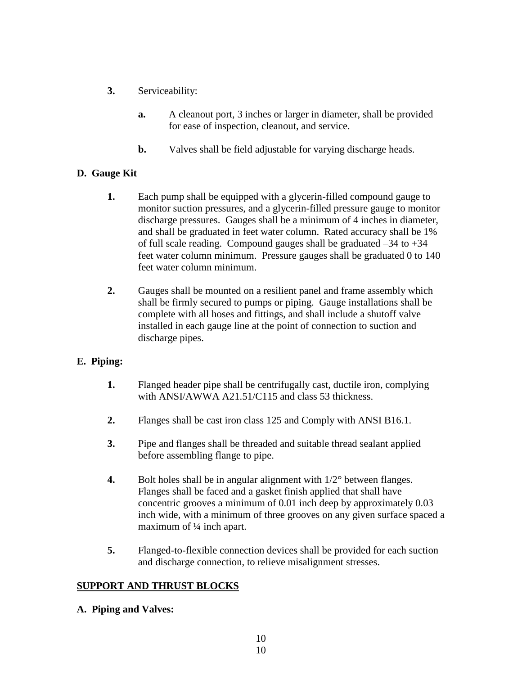- **3.** Serviceability:
	- **a.** A cleanout port, 3 inches or larger in diameter, shall be provided for ease of inspection, cleanout, and service.
	- **b.** Valves shall be field adjustable for varying discharge heads.

# **D. Gauge Kit**

- **1.** Each pump shall be equipped with a glycerin-filled compound gauge to monitor suction pressures, and a glycerin-filled pressure gauge to monitor discharge pressures. Gauges shall be a minimum of 4 inches in diameter, and shall be graduated in feet water column. Rated accuracy shall be 1% of full scale reading. Compound gauges shall be graduated –34 to +34 feet water column minimum. Pressure gauges shall be graduated 0 to 140 feet water column minimum.
- **2.** Gauges shall be mounted on a resilient panel and frame assembly which shall be firmly secured to pumps or piping. Gauge installations shall be complete with all hoses and fittings, and shall include a shutoff valve installed in each gauge line at the point of connection to suction and discharge pipes.

# **E. Piping:**

- **1.** Flanged header pipe shall be centrifugally cast, ductile iron, complying with ANSI/AWWA A21.51/C115 and class 53 thickness.
- **2.** Flanges shall be cast iron class 125 and Comply with ANSI B16.1.
- **3.** Pipe and flanges shall be threaded and suitable thread sealant applied before assembling flange to pipe.
- **4.** Bolt holes shall be in angular alignment with  $1/2^{\circ}$  between flanges. Flanges shall be faced and a gasket finish applied that shall have concentric grooves a minimum of 0.01 inch deep by approximately 0.03 inch wide, with a minimum of three grooves on any given surface spaced a maximum of ¼ inch apart.
- **5.** Flanged-to-flexible connection devices shall be provided for each suction and discharge connection, to relieve misalignment stresses.

# **SUPPORT AND THRUST BLOCKS**

# **A. Piping and Valves:**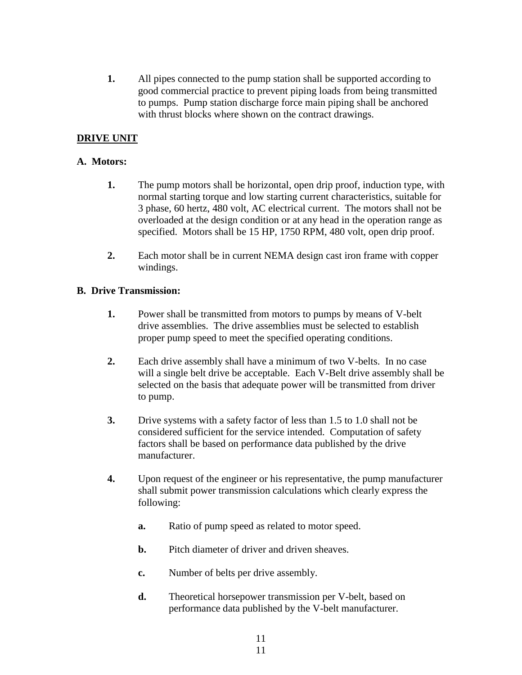**1.** All pipes connected to the pump station shall be supported according to good commercial practice to prevent piping loads from being transmitted to pumps. Pump station discharge force main piping shall be anchored with thrust blocks where shown on the contract drawings.

# **DRIVE UNIT**

#### **A. Motors:**

- **1.** The pump motors shall be horizontal, open drip proof, induction type, with normal starting torque and low starting current characteristics, suitable for 3 phase, 60 hertz, 480 volt, AC electrical current. The motors shall not be overloaded at the design condition or at any head in the operation range as specified. Motors shall be 15 HP, 1750 RPM, 480 volt, open drip proof.
- **2.** Each motor shall be in current NEMA design cast iron frame with copper windings.

#### **B. Drive Transmission:**

- **1.** Power shall be transmitted from motors to pumps by means of V-belt drive assemblies. The drive assemblies must be selected to establish proper pump speed to meet the specified operating conditions.
- **2.** Each drive assembly shall have a minimum of two V-belts. In no case will a single belt drive be acceptable. Each V-Belt drive assembly shall be selected on the basis that adequate power will be transmitted from driver to pump.
- **3.** Drive systems with a safety factor of less than 1.5 to 1.0 shall not be considered sufficient for the service intended. Computation of safety factors shall be based on performance data published by the drive manufacturer.
- **4.** Upon request of the engineer or his representative, the pump manufacturer shall submit power transmission calculations which clearly express the following:
	- **a.** Ratio of pump speed as related to motor speed.
	- **b.** Pitch diameter of driver and driven sheaves.
	- **c.** Number of belts per drive assembly.
	- **d.** Theoretical horsepower transmission per V-belt, based on performance data published by the V-belt manufacturer.

11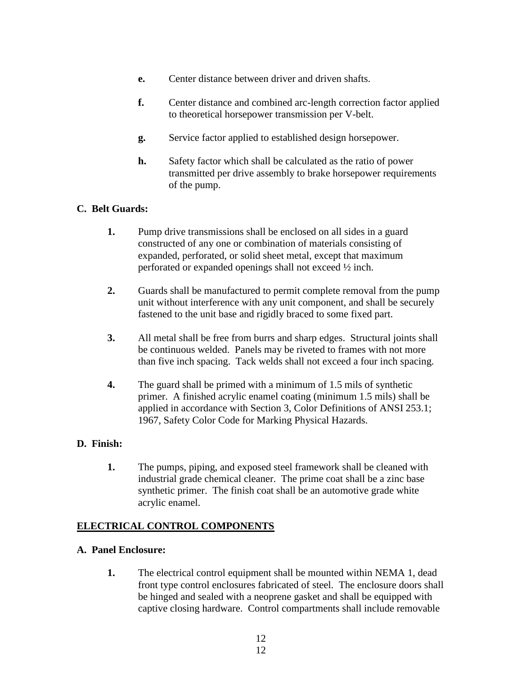- **e.** Center distance between driver and driven shafts.
- **f.** Center distance and combined arc-length correction factor applied to theoretical horsepower transmission per V-belt.
- **g.** Service factor applied to established design horsepower.
- **h.** Safety factor which shall be calculated as the ratio of power transmitted per drive assembly to brake horsepower requirements of the pump.

#### **C. Belt Guards:**

- **1.** Pump drive transmissions shall be enclosed on all sides in a guard constructed of any one or combination of materials consisting of expanded, perforated, or solid sheet metal, except that maximum perforated or expanded openings shall not exceed ½ inch.
- **2.** Guards shall be manufactured to permit complete removal from the pump unit without interference with any unit component, and shall be securely fastened to the unit base and rigidly braced to some fixed part.
- **3.** All metal shall be free from burrs and sharp edges. Structural joints shall be continuous welded. Panels may be riveted to frames with not more than five inch spacing. Tack welds shall not exceed a four inch spacing.
- **4.** The guard shall be primed with a minimum of 1.5 mils of synthetic primer. A finished acrylic enamel coating (minimum 1.5 mils) shall be applied in accordance with Section 3, Color Definitions of ANSI 253.1; 1967, Safety Color Code for Marking Physical Hazards.

#### **D. Finish:**

**1.** The pumps, piping, and exposed steel framework shall be cleaned with industrial grade chemical cleaner. The prime coat shall be a zinc base synthetic primer. The finish coat shall be an automotive grade white acrylic enamel.

# **ELECTRICAL CONTROL COMPONENTS**

#### **A. Panel Enclosure:**

**1.** The electrical control equipment shall be mounted within NEMA 1, dead front type control enclosures fabricated of steel. The enclosure doors shall be hinged and sealed with a neoprene gasket and shall be equipped with captive closing hardware. Control compartments shall include removable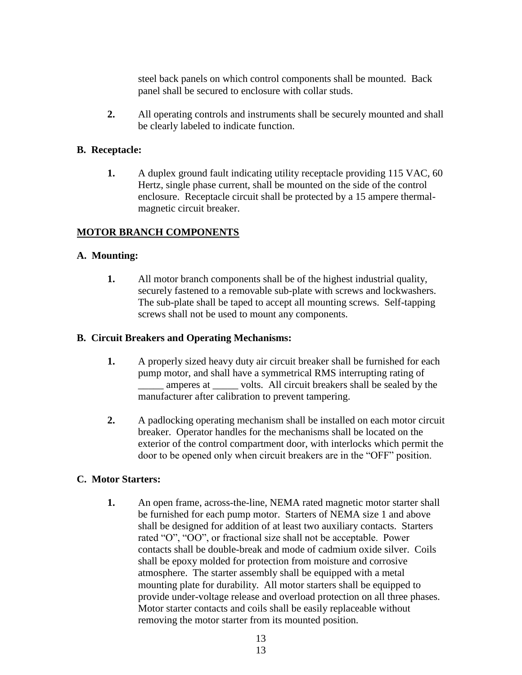steel back panels on which control components shall be mounted. Back panel shall be secured to enclosure with collar studs.

**2.** All operating controls and instruments shall be securely mounted and shall be clearly labeled to indicate function.

#### **B. Receptacle:**

**1.** A duplex ground fault indicating utility receptacle providing 115 VAC, 60 Hertz, single phase current, shall be mounted on the side of the control enclosure. Receptacle circuit shall be protected by a 15 ampere thermalmagnetic circuit breaker.

# **MOTOR BRANCH COMPONENTS**

#### **A. Mounting:**

**1.** All motor branch components shall be of the highest industrial quality, securely fastened to a removable sub-plate with screws and lockwashers. The sub-plate shall be taped to accept all mounting screws. Self-tapping screws shall not be used to mount any components.

#### **B. Circuit Breakers and Operating Mechanisms:**

- **1.** A properly sized heavy duty air circuit breaker shall be furnished for each pump motor, and shall have a symmetrical RMS interrupting rating of amperes at volts. All circuit breakers shall be sealed by the manufacturer after calibration to prevent tampering.
- **2.** A padlocking operating mechanism shall be installed on each motor circuit breaker. Operator handles for the mechanisms shall be located on the exterior of the control compartment door, with interlocks which permit the door to be opened only when circuit breakers are in the "OFF" position.

#### **C. Motor Starters:**

**1.** An open frame, across-the-line, NEMA rated magnetic motor starter shall be furnished for each pump motor. Starters of NEMA size 1 and above shall be designed for addition of at least two auxiliary contacts. Starters rated "O", "OO", or fractional size shall not be acceptable. Power contacts shall be double-break and mode of cadmium oxide silver. Coils shall be epoxy molded for protection from moisture and corrosive atmosphere. The starter assembly shall be equipped with a metal mounting plate for durability. All motor starters shall be equipped to provide under-voltage release and overload protection on all three phases. Motor starter contacts and coils shall be easily replaceable without removing the motor starter from its mounted position.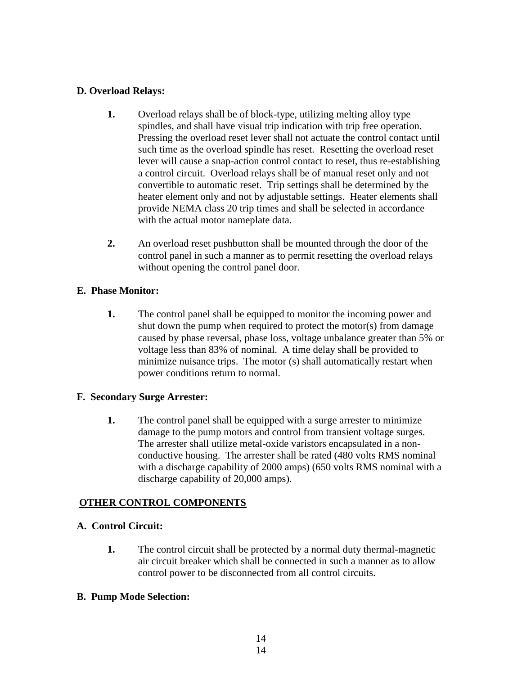#### **D. Overload Relays:**

- **1.** Overload relays shall be of block-type, utilizing melting alloy type spindles, and shall have visual trip indication with trip free operation. Pressing the overload reset lever shall not actuate the control contact until such time as the overload spindle has reset. Resetting the overload reset lever will cause a snap-action control contact to reset, thus re-establishing a control circuit. Overload relays shall be of manual reset only and not convertible to automatic reset. Trip settings shall be determined by the heater element only and not by adjustable settings. Heater elements shall provide NEMA class 20 trip times and shall be selected in accordance with the actual motor nameplate data.
- **2.** An overload reset pushbutton shall be mounted through the door of the control panel in such a manner as to permit resetting the overload relays without opening the control panel door.

# **E. Phase Monitor:**

**1.** The control panel shall be equipped to monitor the incoming power and shut down the pump when required to protect the motor(s) from damage caused by phase reversal, phase loss, voltage unbalance greater than 5% or voltage less than 83% of nominal. A time delay shall be provided to minimize nuisance trips. The motor (s) shall automatically restart when power conditions return to normal.

# **F. Secondary Surge Arrester:**

**1.** The control panel shall be equipped with a surge arrester to minimize damage to the pump motors and control from transient voltage surges. The arrester shall utilize metal-oxide varistors encapsulated in a nonconductive housing. The arrester shall be rated (480 volts RMS nominal with a discharge capability of 2000 amps) (650 volts RMS nominal with a discharge capability of 20,000 amps).

# **OTHER CONTROL COMPONENTS**

# **A. Control Circuit:**

**1.** The control circuit shall be protected by a normal duty thermal-magnetic air circuit breaker which shall be connected in such a manner as to allow control power to be disconnected from all control circuits.

# **B. Pump Mode Selection:**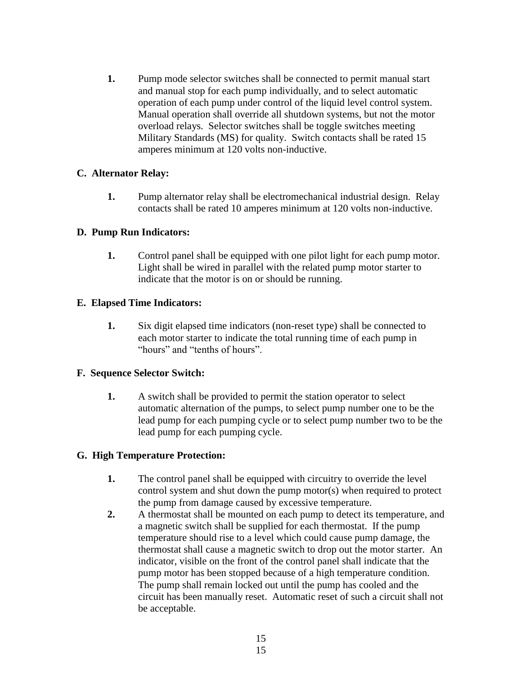**1.** Pump mode selector switches shall be connected to permit manual start and manual stop for each pump individually, and to select automatic operation of each pump under control of the liquid level control system. Manual operation shall override all shutdown systems, but not the motor overload relays. Selector switches shall be toggle switches meeting Military Standards (MS) for quality. Switch contacts shall be rated 15 amperes minimum at 120 volts non-inductive.

# **C. Alternator Relay:**

**1.** Pump alternator relay shall be electromechanical industrial design. Relay contacts shall be rated 10 amperes minimum at 120 volts non-inductive.

#### **D. Pump Run Indicators:**

**1.** Control panel shall be equipped with one pilot light for each pump motor. Light shall be wired in parallel with the related pump motor starter to indicate that the motor is on or should be running.

# **E. Elapsed Time Indicators:**

**1.** Six digit elapsed time indicators (non-reset type) shall be connected to each motor starter to indicate the total running time of each pump in "hours" and "tenths of hours".

# **F. Sequence Selector Switch:**

**1.** A switch shall be provided to permit the station operator to select automatic alternation of the pumps, to select pump number one to be the lead pump for each pumping cycle or to select pump number two to be the lead pump for each pumping cycle.

# **G. High Temperature Protection:**

- **1.** The control panel shall be equipped with circuitry to override the level control system and shut down the pump motor(s) when required to protect the pump from damage caused by excessive temperature.
- **2.** A thermostat shall be mounted on each pump to detect its temperature, and a magnetic switch shall be supplied for each thermostat. If the pump temperature should rise to a level which could cause pump damage, the thermostat shall cause a magnetic switch to drop out the motor starter. An indicator, visible on the front of the control panel shall indicate that the pump motor has been stopped because of a high temperature condition. The pump shall remain locked out until the pump has cooled and the circuit has been manually reset. Automatic reset of such a circuit shall not be acceptable.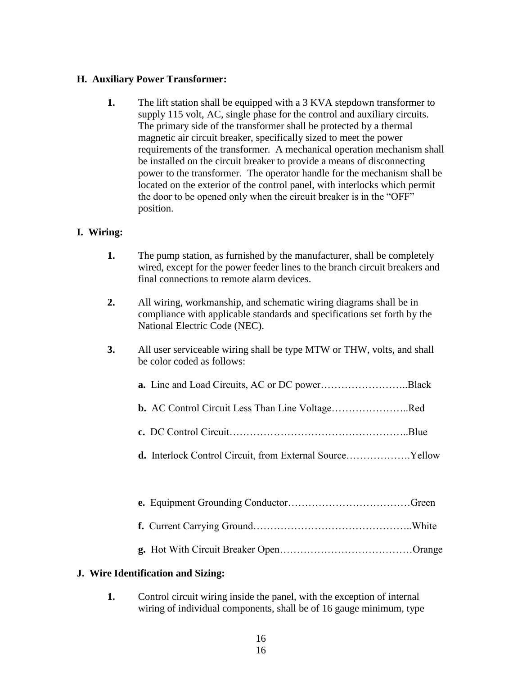#### **H. Auxiliary Power Transformer:**

**1.** The lift station shall be equipped with a 3 KVA stepdown transformer to supply 115 volt, AC, single phase for the control and auxiliary circuits. The primary side of the transformer shall be protected by a thermal magnetic air circuit breaker, specifically sized to meet the power requirements of the transformer. A mechanical operation mechanism shall be installed on the circuit breaker to provide a means of disconnecting power to the transformer. The operator handle for the mechanism shall be located on the exterior of the control panel, with interlocks which permit the door to be opened only when the circuit breaker is in the "OFF" position.

# **I. Wiring:**

| wired, except for the power feeder lines to the branch circuit breakers and |
|-----------------------------------------------------------------------------|
|                                                                             |
|                                                                             |

- **2.** All wiring, workmanship, and schematic wiring diagrams shall be in compliance with applicable standards and specifications set forth by the National Electric Code (NEC).
- **3.** All user serviceable wiring shall be type MTW or THW, volts, and shall be color coded as follows:

| <b>b.</b> AC Control Circuit Less Than Line VoltageRed |  |
|--------------------------------------------------------|--|
|                                                        |  |

**d.** Interlock Control Circuit, from External Source……………….Yellow

**g.** Hot With Circuit Breaker Open…………………………………Orange

# **J. Wire Identification and Sizing:**

**1.** Control circuit wiring inside the panel, with the exception of internal wiring of individual components, shall be of 16 gauge minimum, type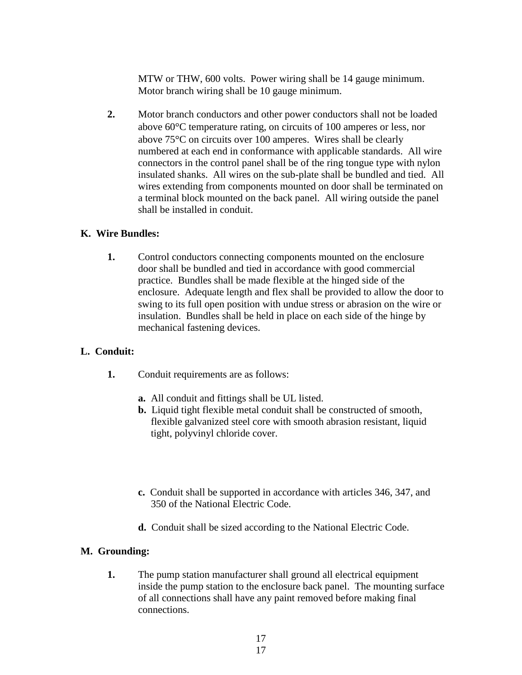MTW or THW, 600 volts. Power wiring shall be 14 gauge minimum. Motor branch wiring shall be 10 gauge minimum.

**2.** Motor branch conductors and other power conductors shall not be loaded above 60 °C temperature rating, on circuits of 100 amperes or less, nor above  $75^{\circ}$ C on circuits over 100 amperes. Wires shall be clearly numbered at each end in conformance with applicable standards. All wire connectors in the control panel shall be of the ring tongue type with nylon insulated shanks. All wires on the sub-plate shall be bundled and tied. All wires extending from components mounted on door shall be terminated on a terminal block mounted on the back panel. All wiring outside the panel shall be installed in conduit.

#### **K. Wire Bundles:**

**1.** Control conductors connecting components mounted on the enclosure door shall be bundled and tied in accordance with good commercial practice. Bundles shall be made flexible at the hinged side of the enclosure. Adequate length and flex shall be provided to allow the door to swing to its full open position with undue stress or abrasion on the wire or insulation. Bundles shall be held in place on each side of the hinge by mechanical fastening devices.

# **L. Conduit:**

- **1.** Conduit requirements are as follows:
	- **a.** All conduit and fittings shall be UL listed.
	- **b.** Liquid tight flexible metal conduit shall be constructed of smooth, flexible galvanized steel core with smooth abrasion resistant, liquid tight, polyvinyl chloride cover.
	- **c.** Conduit shall be supported in accordance with articles 346, 347, and 350 of the National Electric Code.
	- **d.** Conduit shall be sized according to the National Electric Code.

#### **M. Grounding:**

**1.** The pump station manufacturer shall ground all electrical equipment inside the pump station to the enclosure back panel. The mounting surface of all connections shall have any paint removed before making final connections.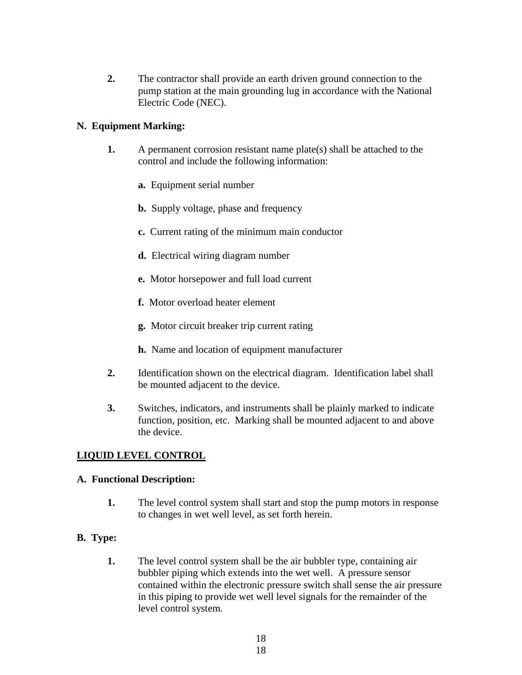**2.** The contractor shall provide an earth driven ground connection to the pump station at the main grounding lug in accordance with the National Electric Code (NEC).

# **N. Equipment Marking:**

- **1.** A permanent corrosion resistant name plate(s) shall be attached to the control and include the following information:
	- **a.** Equipment serial number
	- **b.** Supply voltage, phase and frequency
	- **c.** Current rating of the minimum main conductor
	- **d.** Electrical wiring diagram number
	- **e.** Motor horsepower and full load current
	- **f.** Motor overload heater element
	- **g.** Motor circuit breaker trip current rating
	- **h.** Name and location of equipment manufacturer
- **2.** Identification shown on the electrical diagram. Identification label shall be mounted adjacent to the device.
- **3.** Switches, indicators, and instruments shall be plainly marked to indicate function, position, etc. Marking shall be mounted adjacent to and above the device.

# **LIQUID LEVEL CONTROL**

#### **A. Functional Description:**

**1.** The level control system shall start and stop the pump motors in response to changes in wet well level, as set forth herein.

# **B. Type:**

**1.** The level control system shall be the air bubbler type, containing air bubbler piping which extends into the wet well. A pressure sensor contained within the electronic pressure switch shall sense the air pressure in this piping to provide wet well level signals for the remainder of the level control system.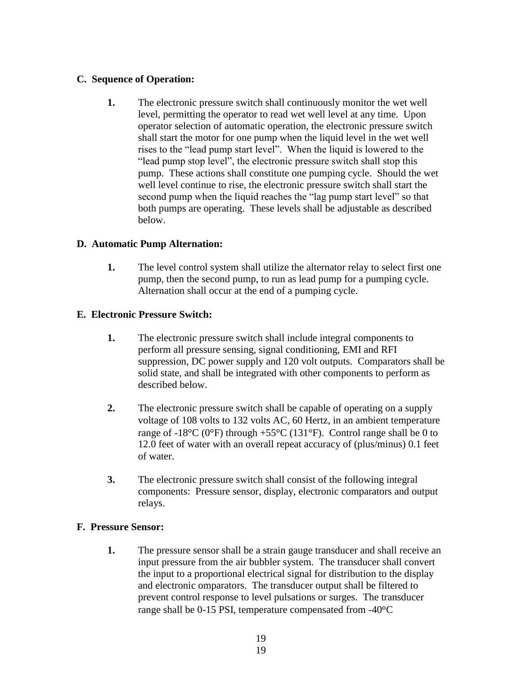#### **C. Sequence of Operation:**

**1.** The electronic pressure switch shall continuously monitor the wet well level, permitting the operator to read wet well level at any time. Upon operator selection of automatic operation, the electronic pressure switch shall start the motor for one pump when the liquid level in the wet well rises to the "lead pump start level". When the liquid is lowered to the "lead pump stop level", the electronic pressure switch shall stop this pump. These actions shall constitute one pumping cycle. Should the wet well level continue to rise, the electronic pressure switch shall start the second pump when the liquid reaches the "lag pump start level" so that both pumps are operating. These levels shall be adjustable as described below.

#### **D. Automatic Pump Alternation:**

**1.** The level control system shall utilize the alternator relay to select first one pump, then the second pump, to run as lead pump for a pumping cycle. Alternation shall occur at the end of a pumping cycle.

# **E. Electronic Pressure Switch:**

- **1.** The electronic pressure switch shall include integral components to perform all pressure sensing, signal conditioning, EMI and RFI suppression, DC power supply and 120 volt outputs. Comparators shall be solid state, and shall be integrated with other components to perform as described below.
- **2.** The electronic pressure switch shall be capable of operating on a supply voltage of 108 volts to 132 volts AC, 60 Hertz, in an ambient temperature range of -18 $^{\circ}$ C (0 $^{\circ}$ F) through +55 $^{\circ}$ C (131 $^{\circ}$ F). Control range shall be 0 to 12.0 feet of water with an overall repeat accuracy of (plus/minus) 0.1 feet of water.
- **3.** The electronic pressure switch shall consist of the following integral components: Pressure sensor, display, electronic comparators and output relays.

#### **F. Pressure Sensor:**

**1.** The pressure sensor shall be a strain gauge transducer and shall receive an input pressure from the air bubbler system. The transducer shall convert the input to a proportional electrical signal for distribution to the display and electronic omparators. The transducer output shall be filtered to prevent control response to level pulsations or surges. The transducer range shall be  $0-15$  PSI, temperature compensated from  $-40^{\circ}$ C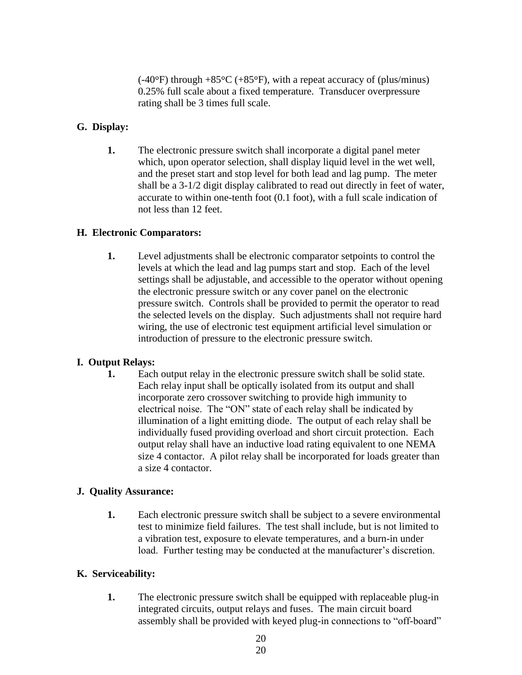$(-40^{\circ}F)$  through  $+85^{\circ}C$  ( $+85^{\circ}F$ ), with a repeat accuracy of (plus/minus) 0.25% full scale about a fixed temperature. Transducer overpressure rating shall be 3 times full scale.

#### **G. Display:**

**1.** The electronic pressure switch shall incorporate a digital panel meter which, upon operator selection, shall display liquid level in the wet well, and the preset start and stop level for both lead and lag pump. The meter shall be a 3-1/2 digit display calibrated to read out directly in feet of water, accurate to within one-tenth foot (0.1 foot), with a full scale indication of not less than 12 feet.

#### **H. Electronic Comparators:**

**1.** Level adjustments shall be electronic comparator setpoints to control the levels at which the lead and lag pumps start and stop. Each of the level settings shall be adjustable, and accessible to the operator without opening the electronic pressure switch or any cover panel on the electronic pressure switch. Controls shall be provided to permit the operator to read the selected levels on the display. Such adjustments shall not require hard wiring, the use of electronic test equipment artificial level simulation or introduction of pressure to the electronic pressure switch.

# **I. Output Relays:**

**1.** Each output relay in the electronic pressure switch shall be solid state. Each relay input shall be optically isolated from its output and shall incorporate zero crossover switching to provide high immunity to electrical noise. The "ON" state of each relay shall be indicated by illumination of a light emitting diode. The output of each relay shall be individually fused providing overload and short circuit protection. Each output relay shall have an inductive load rating equivalent to one NEMA size 4 contactor. A pilot relay shall be incorporated for loads greater than a size 4 contactor.

#### **J. Quality Assurance:**

**1.** Each electronic pressure switch shall be subject to a severe environmental test to minimize field failures. The test shall include, but is not limited to a vibration test, exposure to elevate temperatures, and a burn-in under load. Further testing may be conducted at the manufacturer's discretion.

# **K. Serviceability:**

**1.** The electronic pressure switch shall be equipped with replaceable plug-in integrated circuits, output relays and fuses. The main circuit board assembly shall be provided with keyed plug-in connections to "off-board"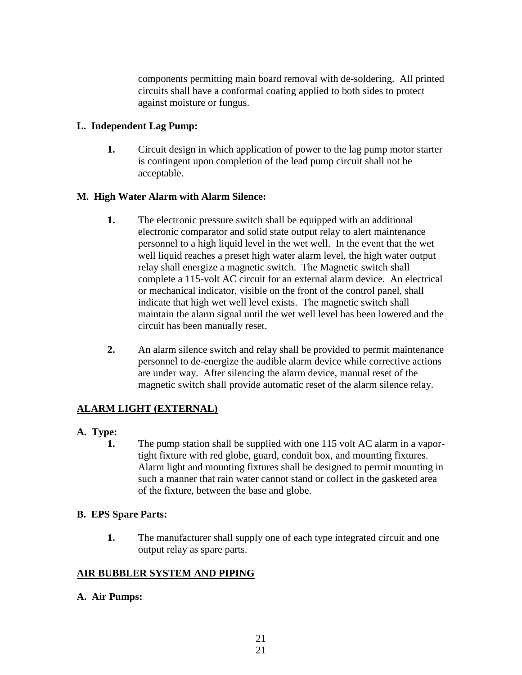components permitting main board removal with de-soldering. All printed circuits shall have a conformal coating applied to both sides to protect against moisture or fungus.

# **L. Independent Lag Pump:**

**1.** Circuit design in which application of power to the lag pump motor starter is contingent upon completion of the lead pump circuit shall not be acceptable.

# **M. High Water Alarm with Alarm Silence:**

- **1.** The electronic pressure switch shall be equipped with an additional electronic comparator and solid state output relay to alert maintenance personnel to a high liquid level in the wet well. In the event that the wet well liquid reaches a preset high water alarm level, the high water output relay shall energize a magnetic switch. The Magnetic switch shall complete a 115-volt AC circuit for an external alarm device. An electrical or mechanical indicator, visible on the front of the control panel, shall indicate that high wet well level exists. The magnetic switch shall maintain the alarm signal until the wet well level has been lowered and the circuit has been manually reset.
- **2.** An alarm silence switch and relay shall be provided to permit maintenance personnel to de-energize the audible alarm device while corrective actions are under way. After silencing the alarm device, manual reset of the magnetic switch shall provide automatic reset of the alarm silence relay.

# **ALARM LIGHT (EXTERNAL)**

# **A. Type:**

**1.** The pump station shall be supplied with one 115 volt AC alarm in a vaportight fixture with red globe, guard, conduit box, and mounting fixtures. Alarm light and mounting fixtures shall be designed to permit mounting in such a manner that rain water cannot stand or collect in the gasketed area of the fixture, between the base and globe.

# **B. EPS Spare Parts:**

**1.** The manufacturer shall supply one of each type integrated circuit and one output relay as spare parts.

# **AIR BUBBLER SYSTEM AND PIPING**

**A. Air Pumps:**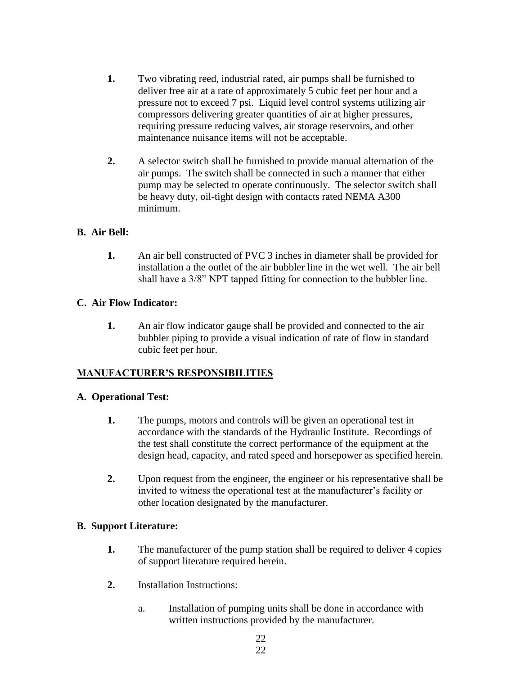- **1.** Two vibrating reed, industrial rated, air pumps shall be furnished to deliver free air at a rate of approximately 5 cubic feet per hour and a pressure not to exceed 7 psi. Liquid level control systems utilizing air compressors delivering greater quantities of air at higher pressures, requiring pressure reducing valves, air storage reservoirs, and other maintenance nuisance items will not be acceptable.
- **2.** A selector switch shall be furnished to provide manual alternation of the air pumps. The switch shall be connected in such a manner that either pump may be selected to operate continuously. The selector switch shall be heavy duty, oil-tight design with contacts rated NEMA A300 minimum.

# **B. Air Bell:**

**1.** An air bell constructed of PVC 3 inches in diameter shall be provided for installation a the outlet of the air bubbler line in the wet well. The air bell shall have a 3/8" NPT tapped fitting for connection to the bubbler line.

# **C. Air Flow Indicator:**

**1.** An air flow indicator gauge shall be provided and connected to the air bubbler piping to provide a visual indication of rate of flow in standard cubic feet per hour.

# **MANUFACTURER'S RESPONSIBILITIES**

# **A. Operational Test:**

- **1.** The pumps, motors and controls will be given an operational test in accordance with the standards of the Hydraulic Institute. Recordings of the test shall constitute the correct performance of the equipment at the design head, capacity, and rated speed and horsepower as specified herein.
- **2.** Upon request from the engineer, the engineer or his representative shall be invited to witness the operational test at the manufacturer's facility or other location designated by the manufacturer.

# **B. Support Literature:**

- **1.** The manufacturer of the pump station shall be required to deliver 4 copies of support literature required herein.
- **2.** Installation Instructions:
	- a. Installation of pumping units shall be done in accordance with written instructions provided by the manufacturer.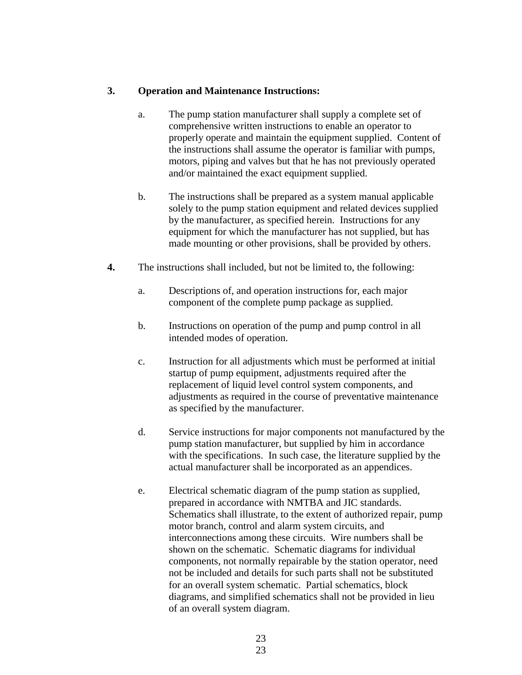#### **3. Operation and Maintenance Instructions:**

- a. The pump station manufacturer shall supply a complete set of comprehensive written instructions to enable an operator to properly operate and maintain the equipment supplied. Content of the instructions shall assume the operator is familiar with pumps, motors, piping and valves but that he has not previously operated and/or maintained the exact equipment supplied.
- b. The instructions shall be prepared as a system manual applicable solely to the pump station equipment and related devices supplied by the manufacturer, as specified herein. Instructions for any equipment for which the manufacturer has not supplied, but has made mounting or other provisions, shall be provided by others.
- **4.** The instructions shall included, but not be limited to, the following:
	- a. Descriptions of, and operation instructions for, each major component of the complete pump package as supplied.
	- b. Instructions on operation of the pump and pump control in all intended modes of operation.
	- c. Instruction for all adjustments which must be performed at initial startup of pump equipment, adjustments required after the replacement of liquid level control system components, and adjustments as required in the course of preventative maintenance as specified by the manufacturer.
	- d. Service instructions for major components not manufactured by the pump station manufacturer, but supplied by him in accordance with the specifications. In such case, the literature supplied by the actual manufacturer shall be incorporated as an appendices.
	- e. Electrical schematic diagram of the pump station as supplied, prepared in accordance with NMTBA and JIC standards. Schematics shall illustrate, to the extent of authorized repair, pump motor branch, control and alarm system circuits, and interconnections among these circuits. Wire numbers shall be shown on the schematic. Schematic diagrams for individual components, not normally repairable by the station operator, need not be included and details for such parts shall not be substituted for an overall system schematic. Partial schematics, block diagrams, and simplified schematics shall not be provided in lieu of an overall system diagram.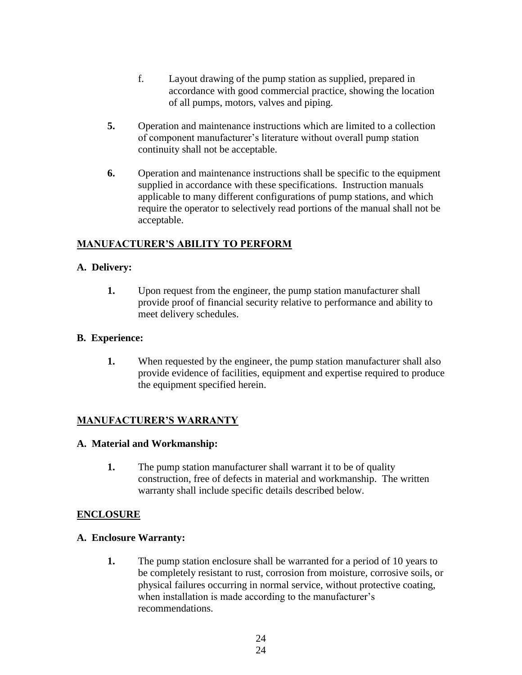- f. Layout drawing of the pump station as supplied, prepared in accordance with good commercial practice, showing the location of all pumps, motors, valves and piping.
- **5.** Operation and maintenance instructions which are limited to a collection of component manufacturer's literature without overall pump station continuity shall not be acceptable.
- **6.** Operation and maintenance instructions shall be specific to the equipment supplied in accordance with these specifications. Instruction manuals applicable to many different configurations of pump stations, and which require the operator to selectively read portions of the manual shall not be acceptable.

#### **MANUFACTURER'S ABILITY TO PERFORM**

#### **A. Delivery:**

**1.** Upon request from the engineer, the pump station manufacturer shall provide proof of financial security relative to performance and ability to meet delivery schedules.

#### **B. Experience:**

**1.** When requested by the engineer, the pump station manufacturer shall also provide evidence of facilities, equipment and expertise required to produce the equipment specified herein.

#### **MANUFACTURER'S WARRANTY**

#### **A. Material and Workmanship:**

**1.** The pump station manufacturer shall warrant it to be of quality construction, free of defects in material and workmanship. The written warranty shall include specific details described below.

#### **ENCLOSURE**

#### **A. Enclosure Warranty:**

**1.** The pump station enclosure shall be warranted for a period of 10 years to be completely resistant to rust, corrosion from moisture, corrosive soils, or physical failures occurring in normal service, without protective coating, when installation is made according to the manufacturer's recommendations.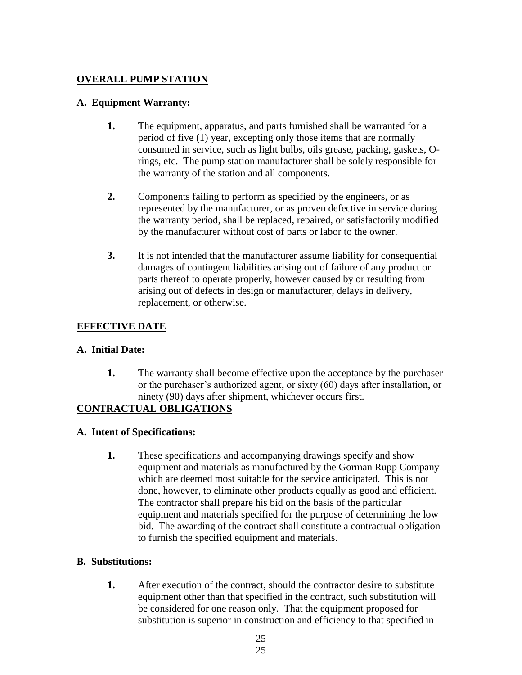# **OVERALL PUMP STATION**

#### **A. Equipment Warranty:**

- **1.** The equipment, apparatus, and parts furnished shall be warranted for a period of five (1) year, excepting only those items that are normally consumed in service, such as light bulbs, oils grease, packing, gaskets, Orings, etc. The pump station manufacturer shall be solely responsible for the warranty of the station and all components.
- **2.** Components failing to perform as specified by the engineers, or as represented by the manufacturer, or as proven defective in service during the warranty period, shall be replaced, repaired, or satisfactorily modified by the manufacturer without cost of parts or labor to the owner.
- **3.** It is not intended that the manufacturer assume liability for consequential damages of contingent liabilities arising out of failure of any product or parts thereof to operate properly, however caused by or resulting from arising out of defects in design or manufacturer, delays in delivery, replacement, or otherwise.

# **EFFECTIVE DATE**

# **A. Initial Date:**

**1.** The warranty shall become effective upon the acceptance by the purchaser or the purchaser's authorized agent, or sixty (60) days after installation, or ninety (90) days after shipment, whichever occurs first.

# **CONTRACTUAL OBLIGATIONS**

# **A. Intent of Specifications:**

**1.** These specifications and accompanying drawings specify and show equipment and materials as manufactured by the Gorman Rupp Company which are deemed most suitable for the service anticipated. This is not done, however, to eliminate other products equally as good and efficient. The contractor shall prepare his bid on the basis of the particular equipment and materials specified for the purpose of determining the low bid. The awarding of the contract shall constitute a contractual obligation to furnish the specified equipment and materials.

# **B. Substitutions:**

**1.** After execution of the contract, should the contractor desire to substitute equipment other than that specified in the contract, such substitution will be considered for one reason only. That the equipment proposed for substitution is superior in construction and efficiency to that specified in